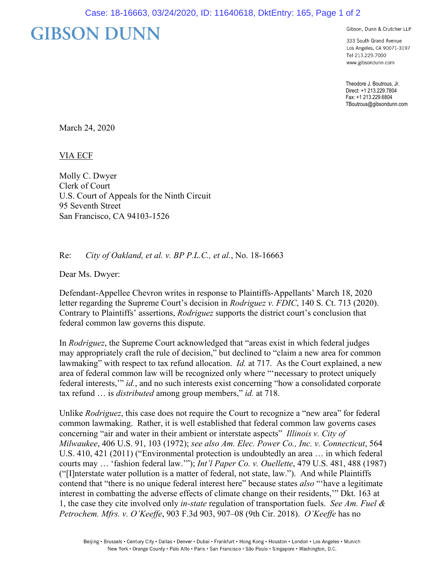## **GIBSON DUNN**

Gibson, Dunn & Crutcher LLP

333 South Grand Avenue Los Angeles, CA 90071-3197 Tel 213.229.7000 www.gibsondunn.com

Theodore J. Boutrous, Jr. Direct: +1 213.229.7804 Fax: +1 213.229.6804 TBoutrous@gibsondunn.com

March 24, 2020

VIA ECF

Molly C. Dwyer Clerk of Court U.S. Court of Appeals for the Ninth Circuit 95 Seventh Street San Francisco, CA 94103-1526

## Re: *City of Oakland, et al. v. BP P.L.C., et al.*, No. 18-16663

Dear Ms. Dwyer:

Defendant-Appellee Chevron writes in response to Plaintiffs-Appellants' March 18, 2020 letter regarding the Supreme Court's decision in *Rodriguez v. FDIC*, 140 S. Ct. 713 (2020). Contrary to Plaintiffs' assertions, *Rodriguez* supports the district court's conclusion that federal common law governs this dispute.

In *Rodriguez*, the Supreme Court acknowledged that "areas exist in which federal judges may appropriately craft the rule of decision," but declined to "claim a new area for common lawmaking" with respect to tax refund allocation. *Id.* at 717. As the Court explained, a new area of federal common law will be recognized only where "'necessary to protect uniquely federal interests,'" *id.*, and no such interests exist concerning "how a consolidated corporate tax refund … is *distributed* among group members," *id.* at 718.

Unlike *Rodriguez*, this case does not require the Court to recognize a "new area" for federal common lawmaking. Rather, it is well established that federal common law governs cases concerning "air and water in their ambient or interstate aspects" *Illinois v. City of Milwaukee*, 406 U.S. 91, 103 (1972); *see also Am. Elec. Power Co., Inc. v. Connecticut*, 564 U.S. 410, 421 (2011) ("Environmental protection is undoubtedly an area … in which federal courts may … 'fashion federal law.'"); *Int'l Paper Co. v. Ouellette*, 479 U.S. 481, 488 (1987) ("[I]nterstate water pollution is a matter of federal, not state, law."). And while Plaintiffs contend that "there is no unique federal interest here" because states *also* "'have a legitimate interest in combatting the adverse effects of climate change on their residents,'" Dkt. 163 at 1, the case they cite involved only *in-state* regulation of transportation fuels. *See Am. Fuel & Petrochem. Mfrs. v. O'Keeffe*, 903 F.3d 903, 907–08 (9th Cir. 2018). *O'Keeffe* has no